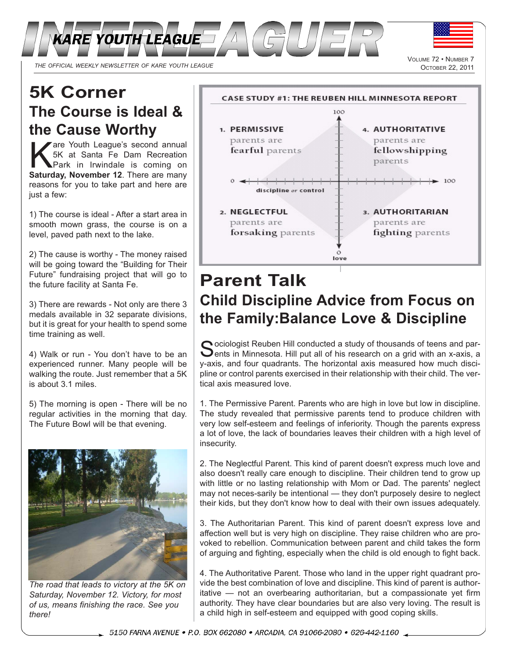

VOLUME 72 • NUMBER 7<br>OCTOBER 22, 2011

## **5K Corner The Course is Ideal & the Cause Worthy**

Fare Youth League's second annual<br>
5K at Santa Fe Dam Recreation<br>
Park in Irwindale is coming on<br>
Saturday November 12 There are many 5K at Santa Fe Dam Recreation **Saturday, November 12**. There are many reasons for you to take part and here are just a few:

1) The course is ideal - After a start area in smooth mown grass, the course is on a level, paved path next to the lake.

2) The cause is worthy - The money raised will be going toward the "Building for Their Future" fundraising project that will go to the future facility at Santa Fe.

3) There are rewards - Not only are there 3 medals available in 32 separate divisions, but it is great for your health to spend some time training as well.

4) Walk or run - You don't have to be an experienced runner. Many people will be walking the route. Just remember that a 5K is about 3.1 miles.

5) The morning is open - There will be no regular activities in the morning that day. The Future Bowl will be that evening.



*The road that leads to victory at the 5K on Saturday, November 12. Victory, for most of us, means finishing the race. See you there!*



## **Parent Talk Child Discipline Advice from Focus on the Family:Balance Love & Discipline**

Sociologist Reuben Hill conducted a study of thousands of teens and par-<br>Sents in Minnesota. Hill put all of his research on a grid with an x-axis, a y-axis, and four quadrants. The horizontal axis measured how much discipline or control parents exercised in their relationship with their child. The vertical axis measured love.

1. The Permissive Parent. Parents who are high in love but low in discipline. The study revealed that permissive parents tend to produce children with very low self-esteem and feelings of inferiority. Though the parents express a lot of love, the lack of boundaries leaves their children with a high level of insecurity.

2. The Neglectful Parent. This kind of parent doesn't express much love and also doesn't really care enough to discipline. Their children tend to grow up with little or no lasting relationship with Mom or Dad. The parents' neglect may not neces-sarily be intentional — they don't purposely desire to neglect their kids, but they don't know how to deal with their own issues adequately.

3. The Authoritarian Parent. This kind of parent doesn't express love and affection well but is very high on discipline. They raise children who are provoked to rebellion. Communication between parent and child takes the form of arguing and fighting, especially when the child is old enough to fight back.

4. The Authoritative Parent. Those who land in the upper right quadrant provide the best combination of love and discipline. This kind of parent is authoritative — not an overbearing authoritarian, but a compassionate yet firm authority. They have clear boundaries but are also very loving. The result is a child high in self-esteem and equipped with good coping skills.